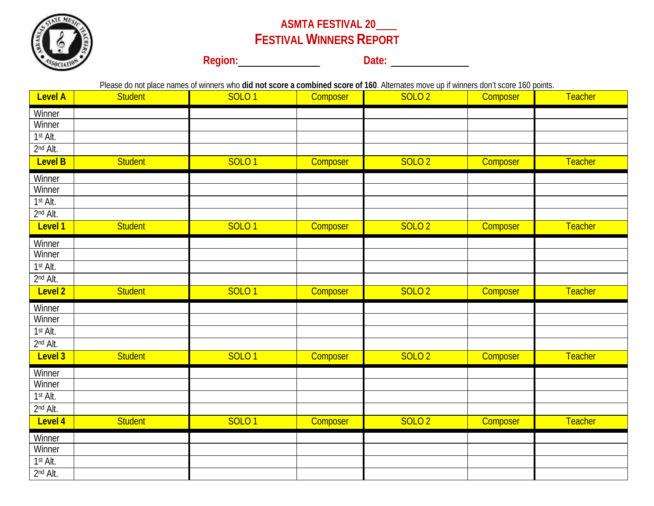

## **ASMTA FESTIVAL 20 FESTIVAL WINNERS REPORT**

**Region: Date: Date: Date: Date: Date: Date: Date: Date: Date: Date: Date: Date: Date: Date: Date: Date: Date: Date: Date: Date: Date: Date: Date: Date: Date: Date: Dat** 

Please do not place names of winners who **did not score a combined score of 160**. Alternates move up if winners don't score 160 points.

| <b>Level A</b>                                                   | <b>Student</b> | <b>SOLO1</b> | Composer | <b>SOLO 2</b> | Composer | <b>Teacher</b> |
|------------------------------------------------------------------|----------------|--------------|----------|---------------|----------|----------------|
| Winner                                                           |                |              |          |               |          |                |
| Winner                                                           |                |              |          |               |          |                |
| 1st Alt.<br>2nd Alt.                                             |                |              |          |               |          |                |
| Level B                                                          | <b>Student</b> | <b>SOLO1</b> | Composer | <b>SOLO 2</b> | Composer | <b>Teacher</b> |
| Winner                                                           |                |              |          |               |          |                |
| Winner                                                           |                |              |          |               |          |                |
| 1st Alt.<br>2nd Alt.                                             |                |              |          |               |          |                |
| Level 1                                                          | <b>Student</b> | <b>SOLO1</b> | Composer | <b>SOLO 2</b> | Composer | <b>Teacher</b> |
| <b>Winner</b>                                                    |                |              |          |               |          |                |
| Winner                                                           |                |              |          |               |          |                |
| 1st Alt.<br>2nd Alt.                                             |                |              |          |               |          |                |
| Level 2                                                          | <b>Student</b> | <b>SOLO1</b> | Composer | <b>SOLO 2</b> | Composer | Teacher        |
| Winner                                                           |                |              |          |               |          |                |
| Winner<br>1st Alt.                                               |                |              |          |               |          |                |
| 2nd Alt.                                                         |                |              |          |               |          |                |
| Level 3                                                          | <b>Student</b> | <b>SOLO1</b> | Composer | <b>SOLO 2</b> | Composer | <b>Teacher</b> |
| Winner                                                           |                |              |          |               |          |                |
|                                                                  |                |              |          |               |          |                |
|                                                                  |                |              |          |               |          |                |
| Level 4                                                          | <b>Student</b> | <b>SOLO1</b> | Composer | <b>SOLO 2</b> | Composer | <b>Teacher</b> |
| Winner                                                           |                |              |          |               |          |                |
|                                                                  |                |              |          |               |          |                |
|                                                                  |                |              |          |               |          |                |
| Winner<br>1st Alt.<br>2nd Alt.<br>Winner<br>1st Alt.<br>2nd Alt. |                |              |          |               |          |                |